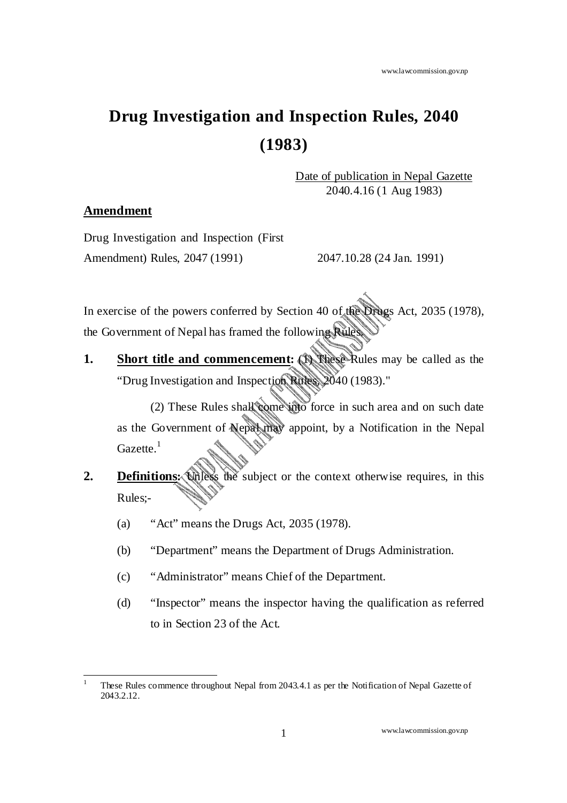# **Drug Investigation and Inspection Rules, 2040 (1983)**

Date of publication in Nepal Gazette 2040.4.16 (1 Aug 1983)

## **Amendment**

Drug Investigation and Inspection (First Amendment) Rules, 2047 (1991) 2047.10.28 (24 Jan. 1991)

In exercise of the powers conferred by Section 40 of the Drugs Act, 2035 (1978), the Government of Nepal has framed the following Rules.

**1.** Short title and commencement: **Bothese** Rules may be called as the "Drug Investigation and Inspection Rules, 2040 (1983)."

(2) These Rules shall come into force in such area and on such date as the Government of Nepal may appoint, by a Notification in the Nepal Gazette.<sup>1</sup>

- **2. Definitions:** These the subject or the context otherwise requires, in this Rules;-
	- (a) "Act" means the Drugs Act, 2035 (1978).
	- (b) "Department" means the Department of Drugs Administration.
	- (c) "Administrator" means Chief of the Department.
	- (d) "Inspector" means the inspector having the qualification as referred to in Section 23 of the Act.

l 1 These Rules commence throughout Nepal from 2043.4.1 as per the Notification of Nepal Gazette of 2043.2.12.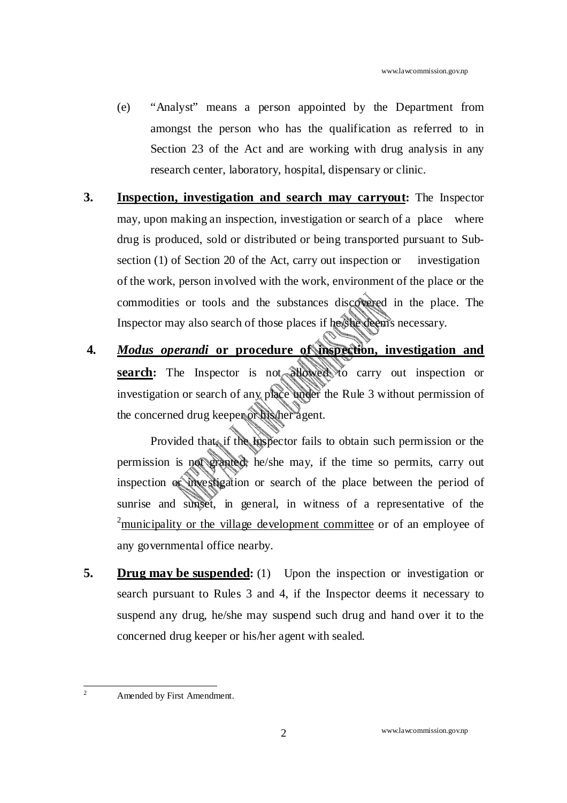- (e) "Analyst" means a person appointed by the Department from amongst the person who has the qualification as referred to in Section 23 of the Act and are working with drug analysis in any research center, laboratory, hospital, dispensary or clinic.
- **3. Inspection, investigation and search may carryout:** The Inspector may, upon making an inspection, investigation or search of a place where drug is produced, sold or distributed or being transported pursuant to Subsection (1) of Section 20 of the Act, carry out inspection or investigation of the work, person involved with the work, environment of the place or the commodities or tools and the substances discovered in the place. The Inspector may also search of those places if he/she deems necessary.
- **4.** *Modus operandi* **or procedure of inspection, investigation and search:** The Inspector is not allowed to carry out inspection or investigation or search of any place under the Rule 3 without permission of the concerned drug keeper or his/her agent.

Provided that, if the Inspector fails to obtain such permission or the permission is not granted, he/she may, if the time so permits, carry out inspection or investigation or search of the place between the period of sunrise and sunset, in general, in witness of a representative of the  $2<sup>2</sup>$ municipality or the village development committee or of an employee of any governmental office nearby.

**5.** Drug may be suspended: (1) Upon the inspection or investigation or search pursuant to Rules 3 and 4, if the Inspector deems it necessary to suspend any drug, he/she may suspend such drug and hand over it to the concerned drug keeper or his/her agent with sealed.

 $\frac{1}{2}$ Amended by First Amendment.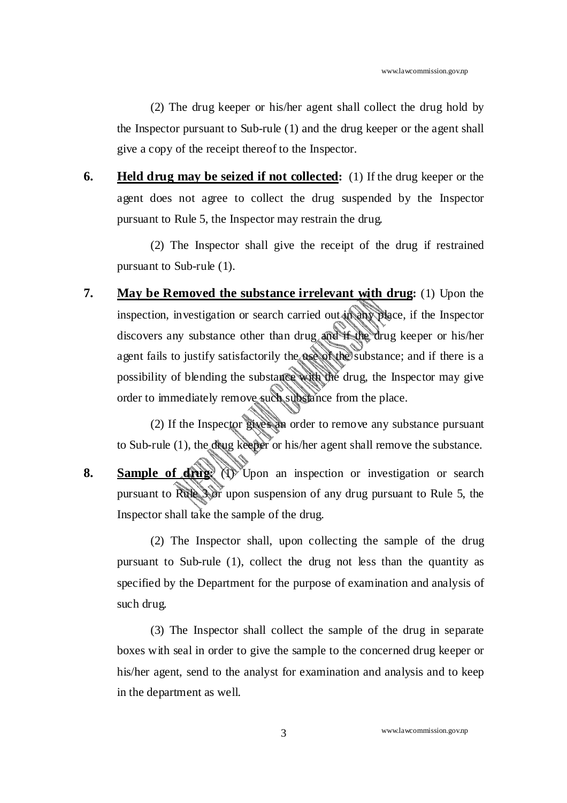(2) The drug keeper or his/her agent shall collect the drug hold by the Inspector pursuant to Sub-rule (1) and the drug keeper or the agent shall give a copy of the receipt thereof to the Inspector.

**6. Held drug may be seized if not collected:** (1) If the drug keeper or the agent does not agree to collect the drug suspended by the Inspector pursuant to Rule 5, the Inspector may restrain the drug.

(2) The Inspector shall give the receipt of the drug if restrained pursuant to Sub-rule (1).

**7. May be Removed the substance irrelevant with drug:** (1) Upon the inspection, investigation or search carried out in any place, if the Inspector discovers any substance other than drug and if the drug keeper or his/her agent fails to justify satisfactorily the use of the substance; and if there is a possibility of blending the substance with the drug, the Inspector may give order to immediately remove such substance from the place.

(2) If the Inspector gives an order to remove any substance pursuant to Sub-rule (1), the drug keeper or his/her agent shall remove the substance.

**8.** Sample of drug<sup>3</sup>  $\langle 1 \rangle$  Upon an inspection or investigation or search pursuant to Rule 3 or upon suspension of any drug pursuant to Rule 5, the Inspector shall take the sample of the drug.

(2) The Inspector shall, upon collecting the sample of the drug pursuant to Sub-rule (1), collect the drug not less than the quantity as specified by the Department for the purpose of examination and analysis of such drug.

(3) The Inspector shall collect the sample of the drug in separate boxes with seal in order to give the sample to the concerned drug keeper or his/her agent, send to the analyst for examination and analysis and to keep in the department as well.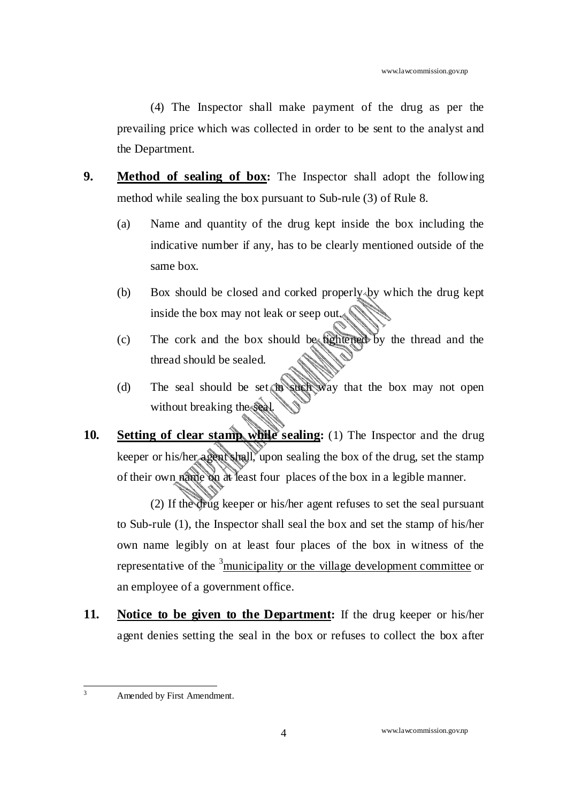(4) The Inspector shall make payment of the drug as per the prevailing price which was collected in order to be sent to the analyst and the Department.

- **9. Method of sealing of box:** The Inspector shall adopt the following method while sealing the box pursuant to Sub-rule (3) of Rule 8.
	- (a) Name and quantity of the drug kept inside the box including the indicative number if any, has to be clearly mentioned outside of the same box.
	- (b) Box should be closed and corked properly by which the drug kept inside the box may not leak or seep out.
	- (c) The cork and the box should be tightened by the thread and the thread should be sealed.
	- (d) The seal should be set in such way that the box may not open without breaking the seal.
- **10.** Setting of clear stamp while sealing: (1) The Inspector and the drug keeper or his/her agent shall, upon sealing the box of the drug, set the stamp of their own name on at least four places of the box in a legible manner.

(2) If the drug keeper or his/her agent refuses to set the seal pursuant to Sub-rule (1), the Inspector shall seal the box and set the stamp of his/her own name legibly on at least four places of the box in witness of the representative of the  $\frac{3}{5}$ municipality or the village development committee or an employee of a government office.

**11. Notice to be given to the Department:** If the drug keeper or his/her agent denies setting the seal in the box or refuses to collect the box after

 $\frac{1}{3}$ Amended by First Amendment.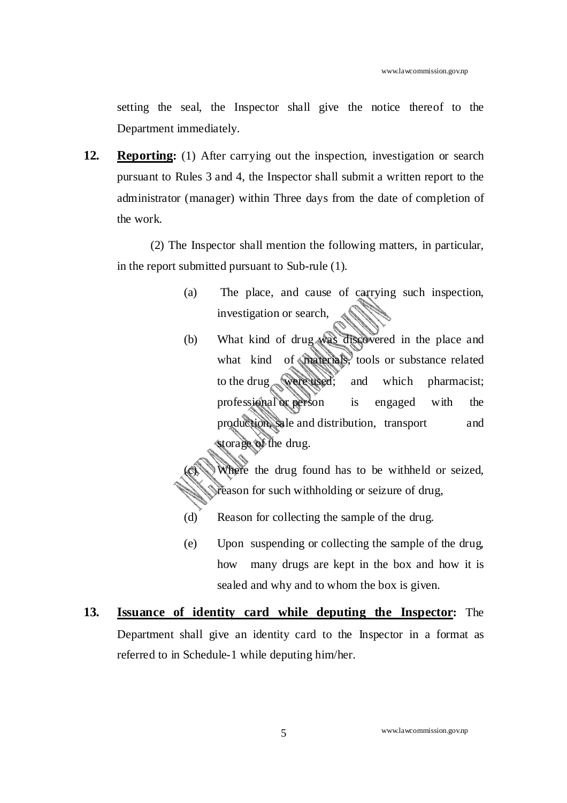setting the seal, the Inspector shall give the notice thereof to the Department immediately.

**12. Reporting:** (1) After carrying out the inspection, investigation or search pursuant to Rules 3 and 4, the Inspector shall submit a written report to the administrator (manager) within Three days from the date of completion of the work.

(2) The Inspector shall mention the following matters, in particular, in the report submitted pursuant to Sub-rule (1).

- (a) The place, and cause of carrying such inspection, investigation or search,
- (b) What kind of drug was discovered in the place and what kind of materials, tools or substance related to the drug were used; and which pharmacist; professional or person is engaged with the production, sale and distribution, transport and storage of the drug.
- Where the drug found has to be withheld or seized, reason for such withholding or seizure of drug,
- (d) Reason for collecting the sample of the drug.
- (e) Upon suspending or collecting the sample of the drug, how many drugs are kept in the box and how it is sealed and why and to whom the box is given.
- **13. Issuance of identity card while deputing the Inspector:** The Department shall give an identity card to the Inspector in a format as referred to in Schedule-1 while deputing him/her.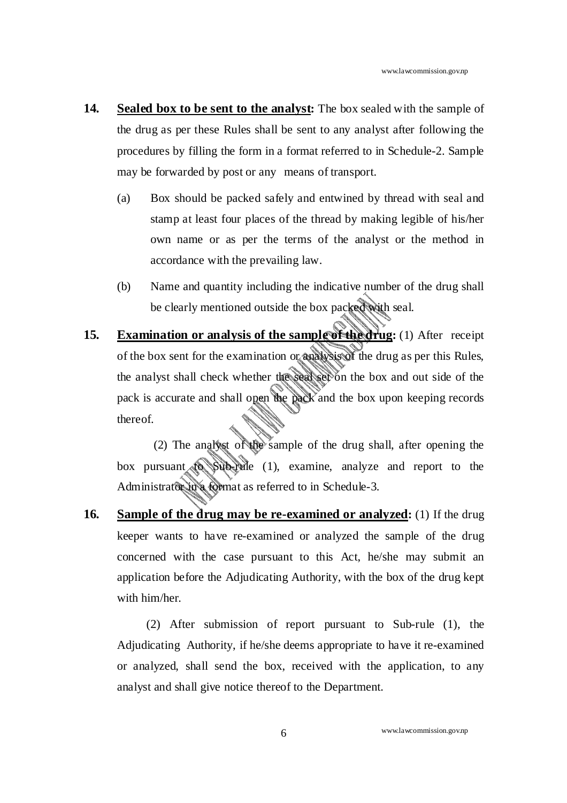- **14. Sealed box to be sent to the analyst:** The box sealed with the sample of the drug as per these Rules shall be sent to any analyst after following the procedures by filling the form in a format referred to in Schedule-2. Sample may be forwarded by post or any means of transport.
	- (a) Box should be packed safely and entwined by thread with seal and stamp at least four places of the thread by making legible of his/her own name or as per the terms of the analyst or the method in accordance with the prevailing law.
	- (b) Name and quantity including the indicative number of the drug shall be clearly mentioned outside the box packed with seal.
- **15. Examination or analysis of the sample of the drug:** (1) After receipt of the box sent for the examination or analysis of the drug as per this Rules, the analyst shall check whether the seal set on the box and out side of the pack is accurate and shall open the pack and the box upon keeping records thereof.

 (2) The analyst of the sample of the drug shall, after opening the box pursuant to Sub-rule (1), examine, analyze and report to the Administrator in a format as referred to in Schedule-3.

**16. Sample of the drug may be re-examined or analyzed:** (1) If the drug keeper wants to have re-examined or analyzed the sample of the drug concerned with the case pursuant to this Act, he/she may submit an application before the Adjudicating Authority, with the box of the drug kept with him/her.

(2) After submission of report pursuant to Sub-rule (1), the Adjudicating Authority, if he/she deems appropriate to have it re-examined or analyzed, shall send the box, received with the application, to any analyst and shall give notice thereof to the Department.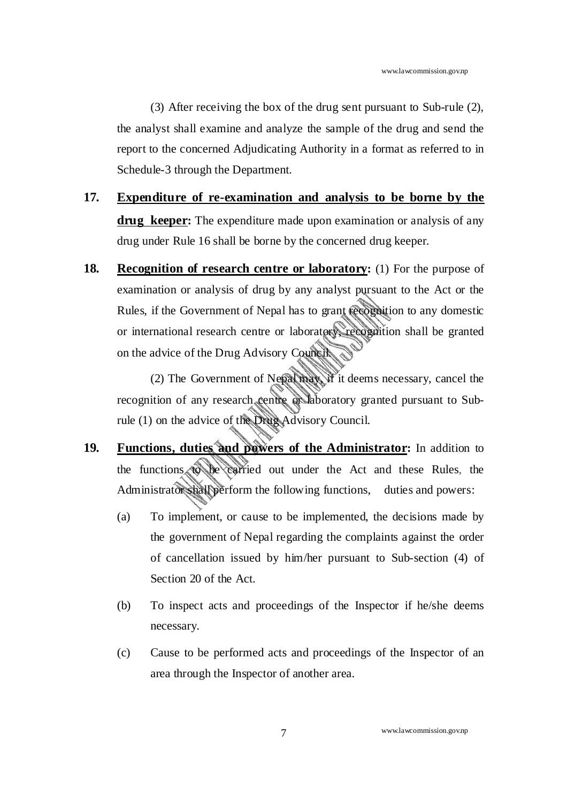(3) After receiving the box of the drug sent pursuant to Sub-rule (2), the analyst shall examine and analyze the sample of the drug and send the report to the concerned Adjudicating Authority in a format as referred to in Schedule-3 through the Department.

- **17. Expenditure of re-examination and analysis to be borne by the drug keeper:** The expenditure made upon examination or analysis of any drug under Rule 16 shall be borne by the concerned drug keeper.
- **18. Recognition of research centre or laboratory:** (1) For the purpose of examination or analysis of drug by any analyst pursuant to the Act or the Rules, if the Government of Nepal has to grant recognition to any domestic or international research centre or laboratory, recognition shall be granted on the advice of the Drug Advisory Council.

(2) The Government of Nepal may, if it deems necessary, cancel the recognition of any research centre or laboratory granted pursuant to Subrule (1) on the advice of the Drug Advisory Council.

- **19. Functions, duties and powers of the Administrator:** In addition to the functions to be carried out under the Act and these Rules, the Administrator shall perform the following functions, duties and powers:
	- (a) To implement, or cause to be implemented, the decisions made by the government of Nepal regarding the complaints against the order of cancellation issued by him/her pursuant to Sub-section (4) of Section 20 of the Act.
	- (b) To inspect acts and proceedings of the Inspector if he/she deems necessary.
	- (c) Cause to be performed acts and proceedings of the Inspector of an area through the Inspector of another area.

www.lawcommission.gov.np 7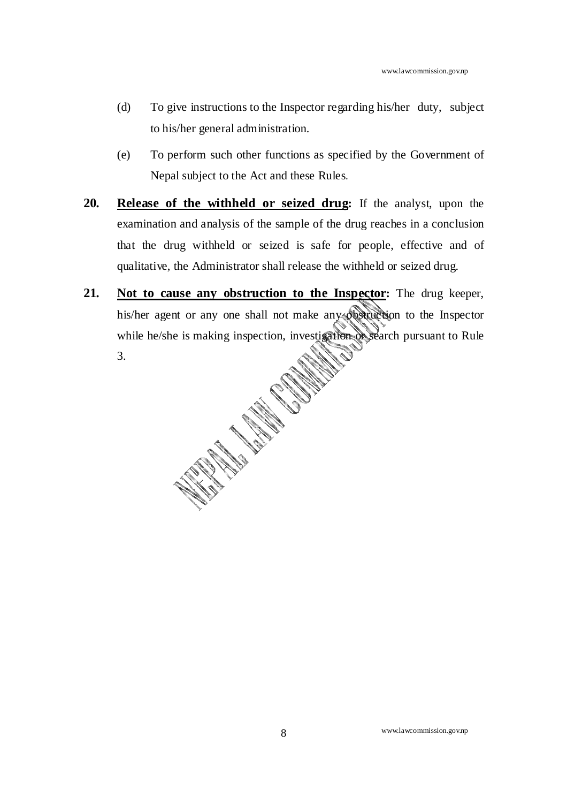- (d) To give instructions to the Inspector regarding his/her duty, subject to his/her general administration.
- (e) To perform such other functions as specified by the Government of Nepal subject to the Act and these Rules.
- **20. Release of the withheld or seized drug:** If the analyst, upon the examination and analysis of the sample of the drug reaches in a conclusion that the drug withheld or seized is safe for people, effective and of qualitative, the Administrator shall release the withheld or seized drug.
- **21. Not to cause any obstruction to the Inspector:** The drug keeper, his/her agent or any one shall not make any obstruction to the Inspector while he/she is making inspection, investigation of search pursuant to Rule 3.

www.lawcommission.gov.np 8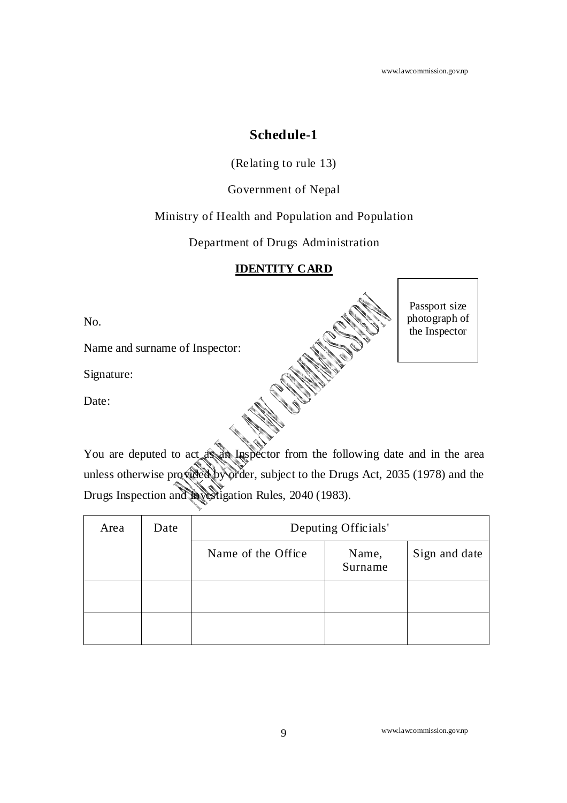www.lawcommission.gov.np

Passport size photograph of the Inspector

## **Schedule-1**

(Relating to rule 13)

Government of Nepal

Ministry of Health and Population and Population

Department of Drugs Administration

## **IDENTITY CARD**

No.

Name and surname of Inspector:

Signature:

Date:

You are deputed to act as an Inspector from the following date and in the area unless otherwise provided by order, subject to the Drugs Act, 2035 (1978) and the Drugs Inspection and Investigation Rules, 2040 (1983).

| Area | Date | Deputing Officials' |                  |               |
|------|------|---------------------|------------------|---------------|
|      |      | Name of the Office  | Name,<br>Surname | Sign and date |
|      |      |                     |                  |               |
|      |      |                     |                  |               |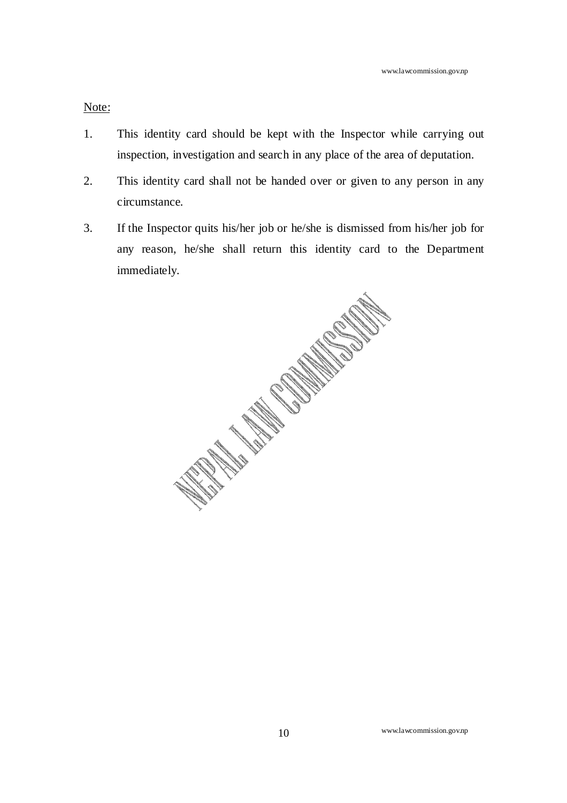## Note:

- 1. This identity card should be kept with the Inspector while carrying out inspection, investigation and search in any place of the area of deputation.
- 2. This identity card shall not be handed over or given to any person in any circumstance.
- 3. If the Inspector quits his/her job or he/she is dismissed from his/her job for any reason, he/she shall return this identity card to the Department immediately.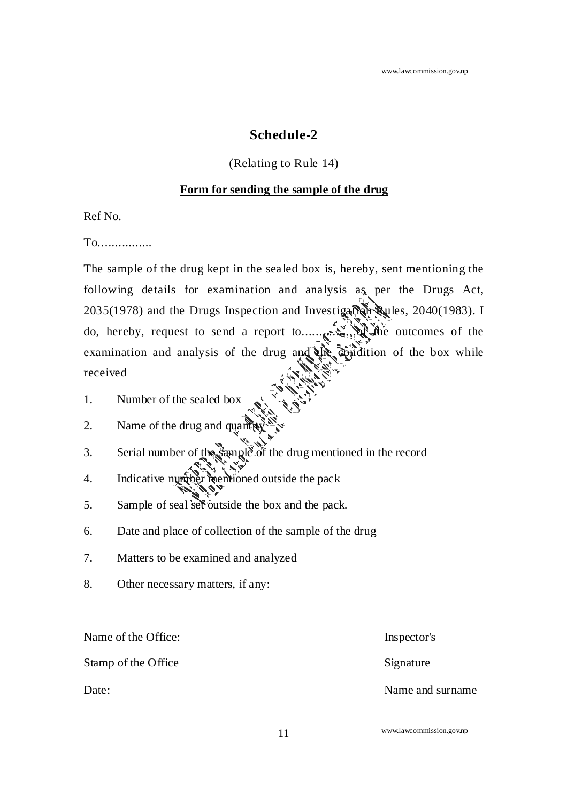## **Schedule-2**

## (Relating to Rule 14)

#### **Form for sending the sample of the drug**

Ref No.

To................

The sample of the drug kept in the sealed box is, hereby, sent mentioning the following details for examination and analysis as per the Drugs Act, 2035(1978) and the Drugs Inspection and Investigation Rules, 2040(1983). I do, hereby, request to send a report to................of the outcomes of the examination and analysis of the drug and the condition of the box while received

- 1. Number of the sealed box
- 2. Name of the drug and quantity
- 3. Serial number of the sample of the drug mentioned in the record
- 4. Indicative number mentioned outside the pack
- 5. Sample of seal set outside the box and the pack.
- 6. Date and place of collection of the sample of the drug
- 7. Matters to be examined and analyzed
- 8. Other necessary matters, if any:

Name of the Office: Inspector's

Stamp of the Office Signature

Date: Name and surname